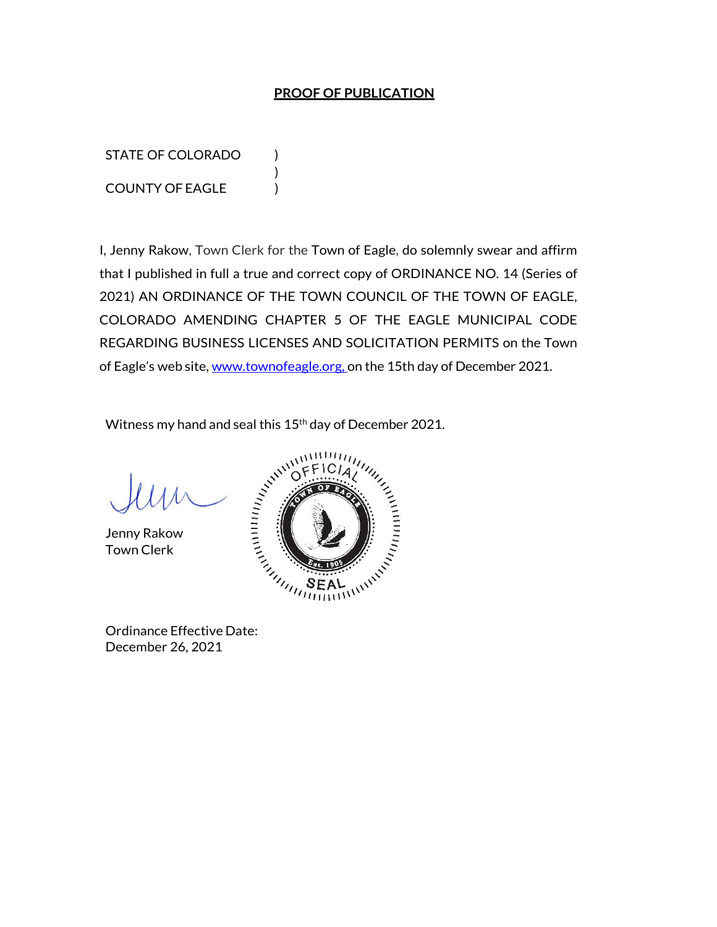### **PROOF OF PUBLICATION**

STATE OF COLORADO ) COUNTY OF EAGLE )

I, Jenny Rakow, Town Clerk for the Town of Eagle, do solemnly swear and affirm that I published in full a true and correct copy of ORDINANCE NO. 14 (Series of 2021) AN ORDINANCE OF THE TOWN COUNCIL OF THE TOWN OF EAGLE, COLORADO AMENDING CHAPTER 5 OF THE EAGLE MUNICIPAL CODE REGARDING BUSINESS LICENSES AND SOLICITATION PERMITS on the Town of Eagle's web site, www.townofeagle.org. on the 15th day of December 2021.

Witness my hand and seal this 15<sup>th</sup> day of December 2021.

)

Jenny Rakow Town Clerk



Ordinance Effective Date: December 26, 2021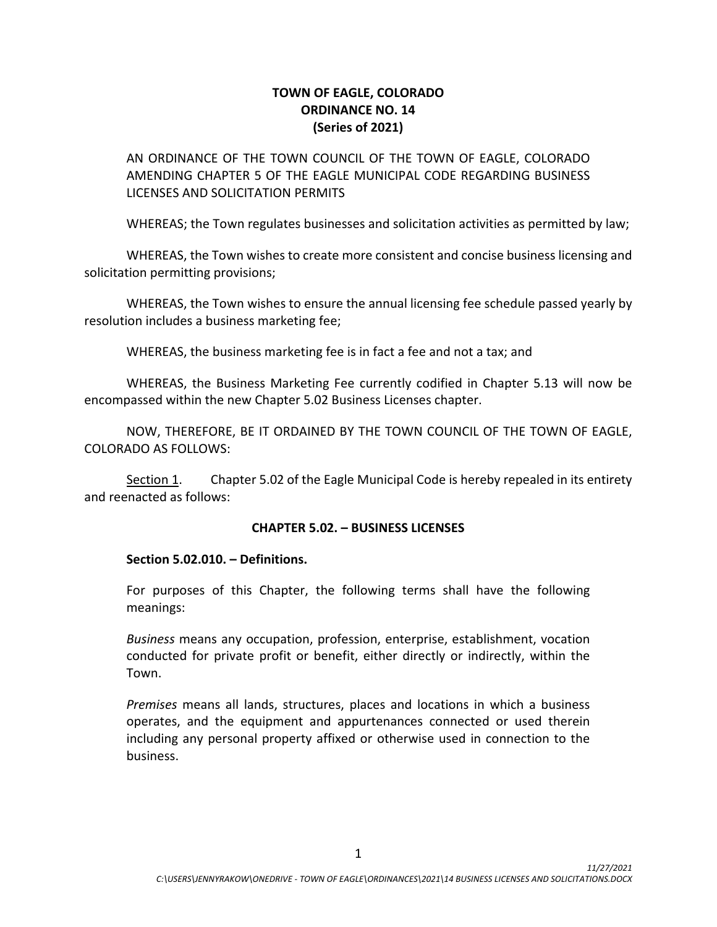# **TOWN OF EAGLE, COLORADO ORDINANCE NO. 14 (Series of 2021)**

AN ORDINANCE OF THE TOWN COUNCIL OF THE TOWN OF EAGLE, COLORADO AMENDING CHAPTER 5 OF THE EAGLE MUNICIPAL CODE REGARDING BUSINESS LICENSES AND SOLICITATION PERMITS

WHEREAS; the Town regulates businesses and solicitation activities as permitted by law;

WHEREAS, the Town wishes to create more consistent and concise business licensing and solicitation permitting provisions;

WHEREAS, the Town wishes to ensure the annual licensing fee schedule passed yearly by resolution includes a business marketing fee;

WHEREAS, the business marketing fee is in fact a fee and not a tax; and

WHEREAS, the Business Marketing Fee currently codified in Chapter 5.13 will now be encompassed within the new Chapter 5.02 Business Licenses chapter.

NOW, THEREFORE, BE IT ORDAINED BY THE TOWN COUNCIL OF THE TOWN OF EAGLE, COLORADO AS FOLLOWS:

Section 1. Chapter 5.02 of the Eagle Municipal Code is hereby repealed in its entirety and reenacted as follows:

#### **CHAPTER 5.02. – BUSINESS LICENSES**

#### **Section 5.02.010. – Definitions.**

For purposes of this Chapter, the following terms shall have the following meanings:

*Business* means any occupation, profession, enterprise, establishment, vocation conducted for private profit or benefit, either directly or indirectly, within the Town.

*Premises* means all lands, structures, places and locations in which a business operates, and the equipment and appurtenances connected or used therein including any personal property affixed or otherwise used in connection to the business.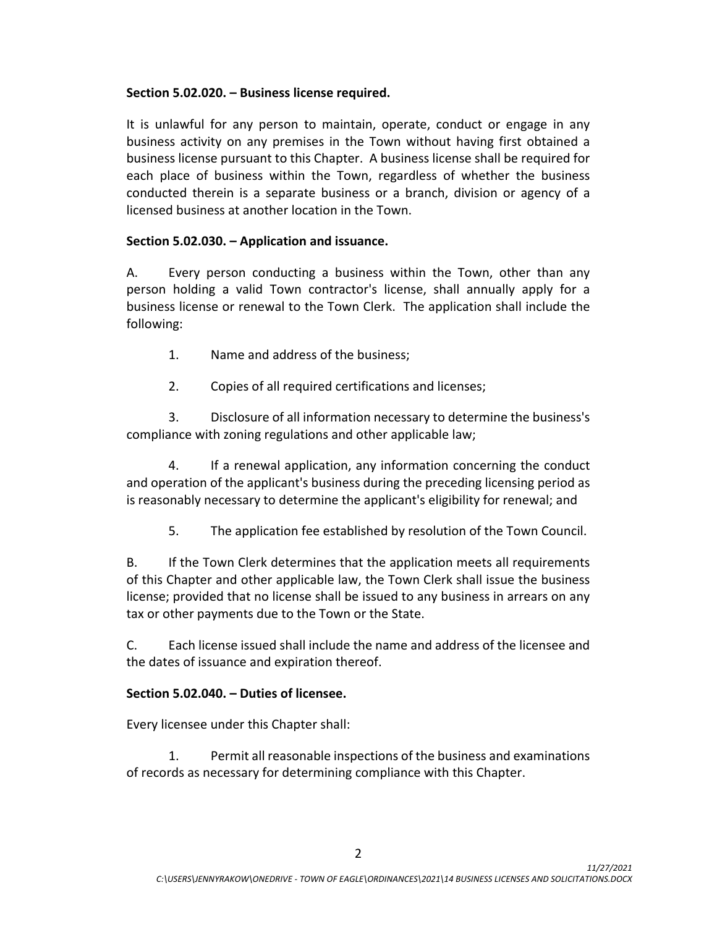### **Section 5.02.020. – Business license required.**

It is unlawful for any person to maintain, operate, conduct or engage in any business activity on any premises in the Town without having first obtained a business license pursuant to this Chapter. A business license shall be required for each place of business within the Town, regardless of whether the business conducted therein is a separate business or a branch, division or agency of a licensed business at another location in the Town.

## **Section 5.02.030. – Application and issuance.**

A. Every person conducting a business within the Town, other than any person holding a valid Town contractor's license, shall annually apply for a business license or renewal to the Town Clerk. The application shall include the following:

- 1. Name and address of the business;
- 2. Copies of all required certifications and licenses;

3. Disclosure of all information necessary to determine the business's compliance with zoning regulations and other applicable law;

4. If a renewal application, any information concerning the conduct and operation of the applicant's business during the preceding licensing period as is reasonably necessary to determine the applicant's eligibility for renewal; and

5. The application fee established by resolution of the Town Council.

B. If the Town Clerk determines that the application meets all requirements of this Chapter and other applicable law, the Town Clerk shall issue the business license; provided that no license shall be issued to any business in arrears on any tax or other payments due to the Town or the State.

C. Each license issued shall include the name and address of the licensee and the dates of issuance and expiration thereof.

# **Section 5.02.040. – Duties of licensee.**

Every licensee under this Chapter shall:

1. Permit all reasonable inspections of the business and examinations of records as necessary for determining compliance with this Chapter.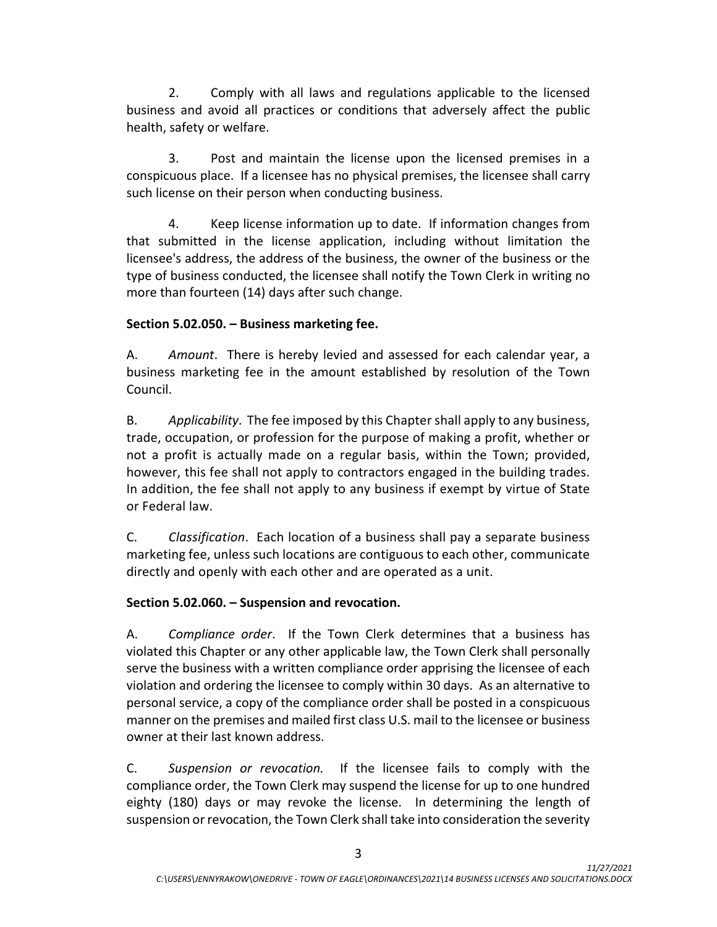2. Comply with all laws and regulations applicable to the licensed business and avoid all practices or conditions that adversely affect the public health, safety or welfare.

3. Post and maintain the license upon the licensed premises in a conspicuous place. If a licensee has no physical premises, the licensee shall carry such license on their person when conducting business.

4. Keep license information up to date. If information changes from that submitted in the license application, including without limitation the licensee's address, the address of the business, the owner of the business or the type of business conducted, the licensee shall notify the Town Clerk in writing no more than fourteen (14) days after such change.

## **Section 5.02.050. – Business marketing fee.**

A. *Amount*. There is hereby levied and assessed for each calendar year, a business marketing fee in the amount established by resolution of the Town Council.

B. *Applicability*. The fee imposed by this Chapter shall apply to any business, trade, occupation, or profession for the purpose of making a profit, whether or not a profit is actually made on a regular basis, within the Town; provided, however, this fee shall not apply to contractors engaged in the building trades. In addition, the fee shall not apply to any business if exempt by virtue of State or Federal law.

C. *Classification*. Each location of a business shall pay a separate business marketing fee, unless such locations are contiguous to each other, communicate directly and openly with each other and are operated as a unit.

# **Section 5.02.060. – Suspension and revocation.**

A. *Compliance order*. If the Town Clerk determines that a business has violated this Chapter or any other applicable law, the Town Clerk shall personally serve the business with a written compliance order apprising the licensee of each violation and ordering the licensee to comply within 30 days. As an alternative to personal service, a copy of the compliance order shall be posted in a conspicuous manner on the premises and mailed first class U.S. mail to the licensee or business owner at their last known address.

C. *Suspension or revocation.* If the licensee fails to comply with the compliance order, the Town Clerk may suspend the license for up to one hundred eighty (180) days or may revoke the license. In determining the length of suspension or revocation, the Town Clerk shall take into consideration the severity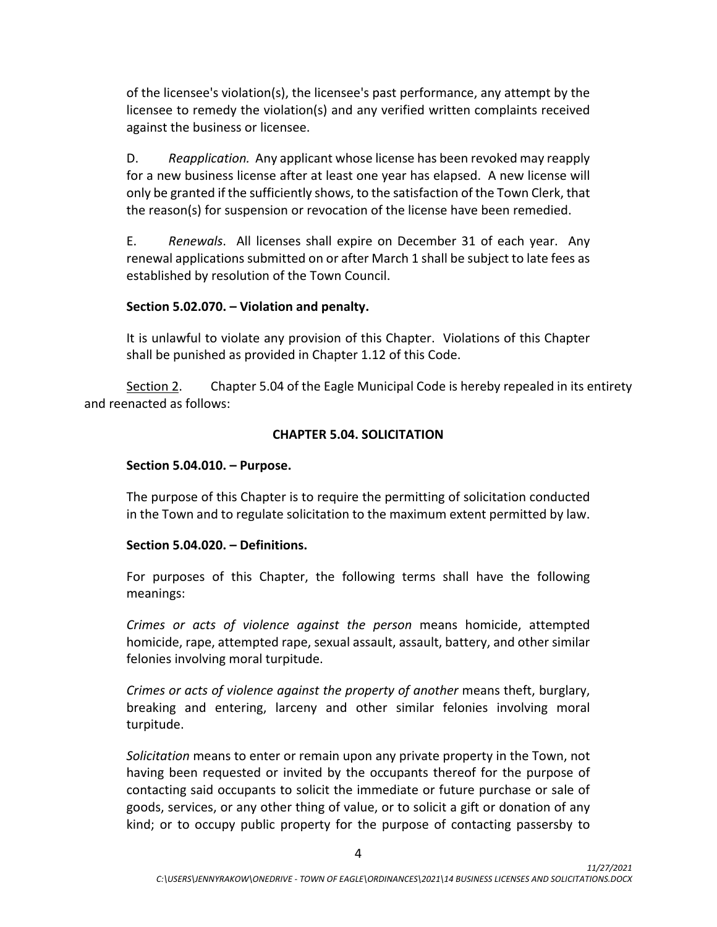of the licensee's violation(s), the licensee's past performance, any attempt by the licensee to remedy the violation(s) and any verified written complaints received against the business or licensee.

D. *Reapplication.* Any applicant whose license has been revoked may reapply for a new business license after at least one year has elapsed. A new license will only be granted if the sufficiently shows, to the satisfaction of the Town Clerk, that the reason(s) for suspension or revocation of the license have been remedied.

E. *Renewals*. All licenses shall expire on December 31 of each year. Any renewal applications submitted on or after March 1 shall be subject to late fees as established by resolution of the Town Council.

## **Section 5.02.070. – Violation and penalty.**

It is unlawful to violate any provision of this Chapter. Violations of this Chapter shall be punished as provided in Chapter 1.12 of this Code.

Section 2. Chapter 5.04 of the Eagle Municipal Code is hereby repealed in its entirety and reenacted as follows:

## **CHAPTER 5.04. SOLICITATION**

#### **Section 5.04.010. – Purpose.**

The purpose of this Chapter is to require the permitting of solicitation conducted in the Town and to regulate solicitation to the maximum extent permitted by law.

#### **Section 5.04.020. – Definitions.**

For purposes of this Chapter, the following terms shall have the following meanings:

*Crimes or acts of violence against the person* means homicide, attempted homicide, rape, attempted rape, sexual assault, assault, battery, and other similar felonies involving moral turpitude.

*Crimes or acts of violence against the property of another* means theft, burglary, breaking and entering, larceny and other similar felonies involving moral turpitude.

*Solicitation* means to enter or remain upon any private property in the Town, not having been requested or invited by the occupants thereof for the purpose of contacting said occupants to solicit the immediate or future purchase or sale of goods, services, or any other thing of value, or to solicit a gift or donation of any kind; or to occupy public property for the purpose of contacting passersby to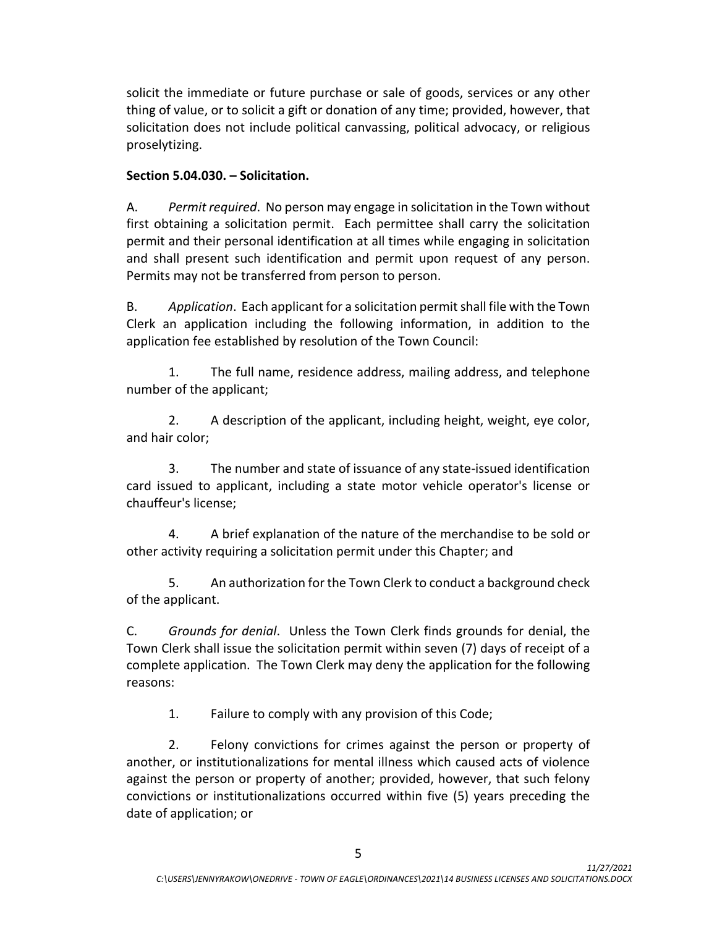solicit the immediate or future purchase or sale of goods, services or any other thing of value, or to solicit a gift or donation of any time; provided, however, that solicitation does not include political canvassing, political advocacy, or religious proselytizing.

## **Section 5.04.030. – Solicitation.**

A. *Permit required*. No person may engage in solicitation in the Town without first obtaining a solicitation permit. Each permittee shall carry the solicitation permit and their personal identification at all times while engaging in solicitation and shall present such identification and permit upon request of any person. Permits may not be transferred from person to person.

B. *Application*. Each applicant for a solicitation permit shall file with the Town Clerk an application including the following information, in addition to the application fee established by resolution of the Town Council:

1. The full name, residence address, mailing address, and telephone number of the applicant;

2. A description of the applicant, including height, weight, eye color, and hair color;

3. The number and state of issuance of any state-issued identification card issued to applicant, including a state motor vehicle operator's license or chauffeur's license;

4. A brief explanation of the nature of the merchandise to be sold or other activity requiring a solicitation permit under this Chapter; and

5. An authorization for the Town Clerk to conduct a background check of the applicant.

C. *Grounds for denial*. Unless the Town Clerk finds grounds for denial, the Town Clerk shall issue the solicitation permit within seven (7) days of receipt of a complete application. The Town Clerk may deny the application for the following reasons:

1. Failure to comply with any provision of this Code;

2. Felony convictions for crimes against the person or property of another, or institutionalizations for mental illness which caused acts of violence against the person or property of another; provided, however, that such felony convictions or institutionalizations occurred within five (5) years preceding the date of application; or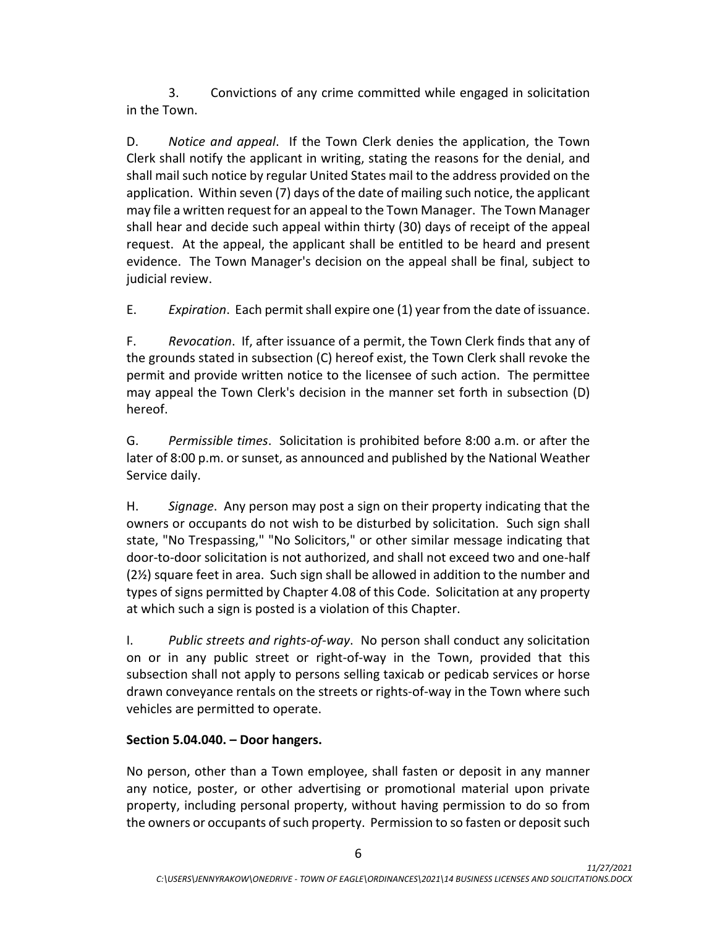3. Convictions of any crime committed while engaged in solicitation in the Town.

D. *Notice and appeal*. If the Town Clerk denies the application, the Town Clerk shall notify the applicant in writing, stating the reasons for the denial, and shall mail such notice by regular United States mail to the address provided on the application. Within seven (7) days of the date of mailing such notice, the applicant may file a written request for an appeal to the Town Manager. The Town Manager shall hear and decide such appeal within thirty (30) days of receipt of the appeal request. At the appeal, the applicant shall be entitled to be heard and present evidence. The Town Manager's decision on the appeal shall be final, subject to judicial review.

E. *Expiration*. Each permit shall expire one (1) year from the date of issuance.

F. *Revocation*. If, after issuance of a permit, the Town Clerk finds that any of the grounds stated in subsection (C) hereof exist, the Town Clerk shall revoke the permit and provide written notice to the licensee of such action. The permittee may appeal the Town Clerk's decision in the manner set forth in subsection (D) hereof.

G. *Permissible times*. Solicitation is prohibited before 8:00 a.m. or after the later of 8:00 p.m. or sunset, as announced and published by the National Weather Service daily.

H. *Signage*. Any person may post a sign on their property indicating that the owners or occupants do not wish to be disturbed by solicitation. Such sign shall state, "No Trespassing," "No Solicitors," or other similar message indicating that door-to-door solicitation is not authorized, and shall not exceed two and one-half (2½) square feet in area. Such sign shall be allowed in addition to the number and types of signs permitted by Chapter 4.08 of this Code. Solicitation at any property at which such a sign is posted is a violation of this Chapter.

I. *Public streets and rights-of-way*. No person shall conduct any solicitation on or in any public street or right-of-way in the Town, provided that this subsection shall not apply to persons selling taxicab or pedicab services or horse drawn conveyance rentals on the streets or rights-of-way in the Town where such vehicles are permitted to operate.

# **Section 5.04.040. – Door hangers.**

No person, other than a Town employee, shall fasten or deposit in any manner any notice, poster, or other advertising or promotional material upon private property, including personal property, without having permission to do so from the owners or occupants of such property. Permission to so fasten or deposit such